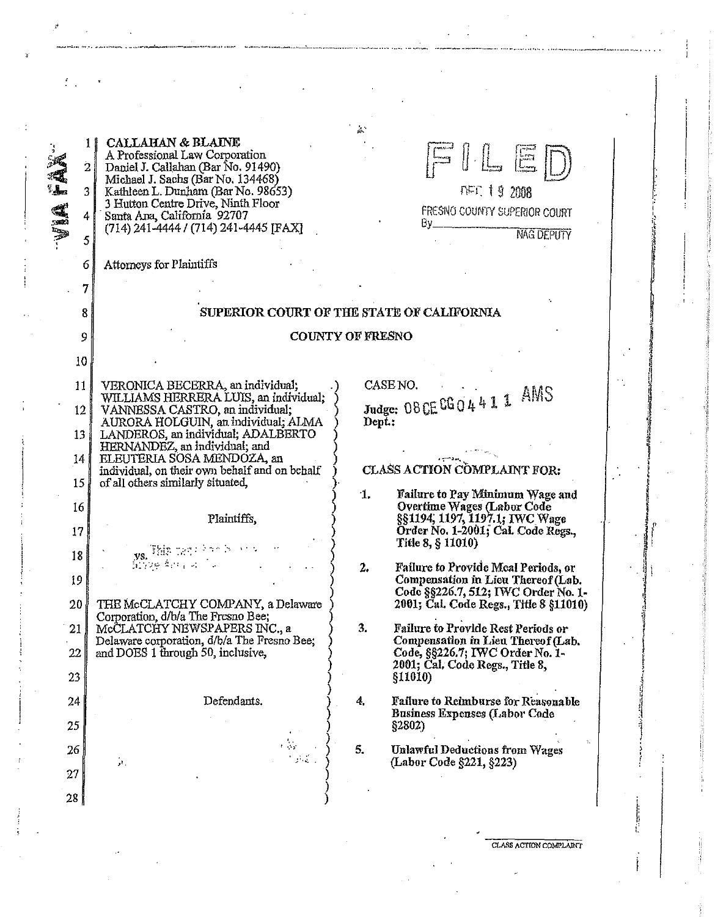| Attorneys for Plaintiffs<br>6<br>7<br>SUPERIOR COURT OF THE STATE OF CALIFORNIA<br>8<br>COUNTY OF FRESNO<br>9<br>10<br>CASE NO.<br>11<br>VERONICA BECERRA, an individual;<br>Judge: 08 CE CG 0 4 4 1 1 AMS<br>WILLIAMS HERRERA LUIS, an individual;<br>$12 \,$<br>VANNESSA CASTRO, an individual;<br>AURORA HOLGUIN, an individual: ALMA<br>Dept :<br>LANDEROS, an individual; ADALBERTO<br>13 <sup>°</sup><br>HERNANDEZ, an individual; and<br>ELEUTERIA SOSA MENDOZA, an<br>14<br>CLASS ACTION COMPLAINT FOR:<br>individual, on their own behalf and on behalf<br>15<br>of all others similarly situated,<br>$\mathbf{1}$ .<br>Failure to Pay Minimum Wage and<br>Overtime Wages (Labor Code<br>16<br>§§1194, 1197, 1197 1; IWC Wage<br>Plaintiffs,<br>Örder No. 1-2001; Cal. Code Regs.,<br>17<br>Title 8, § 11010)<br>$\mathbf{y}_{\mathbf{S}_k} = \begin{bmatrix} \mathbb{P}^1_{\mathbf{S}_k}(\mathbf{y},\mathbf{y},\mathbf{y}) & \mathbb{P}^1_{\mathbf{S}_k}(\mathbf{y},\mathbf{y}) & \mathbb{P}^1_{\mathbf{S}_k}(\mathbf{y},\mathbf{y}) \\ \mathbb{P}^1_{\mathbf{S}_k}(\mathbf{y},\mathbf{y},\mathbf{y},\mathbf{y}) & \mathbb{P}^1_{\mathbf{S}_k}(\mathbf{y},\mathbf{y},\mathbf{y}) & \mathbb{P}^1_{\mathbf{S}_k}(\mathbf{y},\math$<br>18<br>2.<br>Failure to Provide Meal Periods, or<br>19<br>Compensation in Lieu Thereof (Lab.<br>Code §§226.7, 512; IWC Order No. 1-<br>20<br>THE McCLATCHY COMPANY, a Delaware<br>2001; Cal. Code Regs., Title 8 §11010)<br>Corporation, d/b/a The Fresno Bee;<br>McCLATCHY NEWSPAPERS INC., a<br>3.<br>Failure to Provide Rest Periods or<br>21<br>Delaware corporation, d/b/a The Fresno Bee;<br>Compensation in Lieu Thereof (Lab.<br>and DOES 1 through 50, inclusive,<br>Code, §§226.7; IWC Order No. 1-<br>22<br>2001; Cal. Code Regs., Title 8,<br>23<br>§11010)<br>Defendants.<br>4,<br>Failure to Reimburse for Reasonable<br>24<br><b>Business Expenses (Labor Code</b><br>25<br>§2802<br>τ.<br><b>Unlawful Deductions from Wages</b><br>5.<br>26<br>$\mathcal{P}_\mathrm{c}$<br>(Labor Code §221, §223)<br>27<br>$28 \mid$ | i del<br>in 1924. | <b>CALLAHAN &amp; BLAINE</b><br>11<br>A Professional Law Corporation<br>$\overline{2}$<br>Daniel J. Callahan (Bar No. 91490)<br>Michael J. Sachs (Bar No. 134468)<br>Kathleen L. Dunham (Bar No. 98653)<br>3<br>3 Hutton Centre Drive, Ninth Floor<br>Santa Ana, California 92707<br>4<br>(714) 241-4444 / (714) 241-4445 [FAX]<br>5 | $\mathbb{I} \sqsubseteq \boxdot \boxdot$<br><b>NFT: 19 2008</b><br>FRESNO COUNTY SUPERIOR COURT<br>By<br><b>NAG DEPUTY</b> |
|------------------------------------------------------------------------------------------------------------------------------------------------------------------------------------------------------------------------------------------------------------------------------------------------------------------------------------------------------------------------------------------------------------------------------------------------------------------------------------------------------------------------------------------------------------------------------------------------------------------------------------------------------------------------------------------------------------------------------------------------------------------------------------------------------------------------------------------------------------------------------------------------------------------------------------------------------------------------------------------------------------------------------------------------------------------------------------------------------------------------------------------------------------------------------------------------------------------------------------------------------------------------------------------------------------------------------------------------------------------------------------------------------------------------------------------------------------------------------------------------------------------------------------------------------------------------------------------------------------------------------------------------------------------------------------------------------------------------------------------------------------------------------------------------------------------------------------------------------------------------------------------------------------------------------------------------------------------------------------------------------------------------------------------------------------------------------------|-------------------|--------------------------------------------------------------------------------------------------------------------------------------------------------------------------------------------------------------------------------------------------------------------------------------------------------------------------------------|----------------------------------------------------------------------------------------------------------------------------|
|                                                                                                                                                                                                                                                                                                                                                                                                                                                                                                                                                                                                                                                                                                                                                                                                                                                                                                                                                                                                                                                                                                                                                                                                                                                                                                                                                                                                                                                                                                                                                                                                                                                                                                                                                                                                                                                                                                                                                                                                                                                                                    |                   |                                                                                                                                                                                                                                                                                                                                      |                                                                                                                            |
|                                                                                                                                                                                                                                                                                                                                                                                                                                                                                                                                                                                                                                                                                                                                                                                                                                                                                                                                                                                                                                                                                                                                                                                                                                                                                                                                                                                                                                                                                                                                                                                                                                                                                                                                                                                                                                                                                                                                                                                                                                                                                    |                   |                                                                                                                                                                                                                                                                                                                                      |                                                                                                                            |
|                                                                                                                                                                                                                                                                                                                                                                                                                                                                                                                                                                                                                                                                                                                                                                                                                                                                                                                                                                                                                                                                                                                                                                                                                                                                                                                                                                                                                                                                                                                                                                                                                                                                                                                                                                                                                                                                                                                                                                                                                                                                                    |                   |                                                                                                                                                                                                                                                                                                                                      |                                                                                                                            |
|                                                                                                                                                                                                                                                                                                                                                                                                                                                                                                                                                                                                                                                                                                                                                                                                                                                                                                                                                                                                                                                                                                                                                                                                                                                                                                                                                                                                                                                                                                                                                                                                                                                                                                                                                                                                                                                                                                                                                                                                                                                                                    |                   |                                                                                                                                                                                                                                                                                                                                      |                                                                                                                            |
|                                                                                                                                                                                                                                                                                                                                                                                                                                                                                                                                                                                                                                                                                                                                                                                                                                                                                                                                                                                                                                                                                                                                                                                                                                                                                                                                                                                                                                                                                                                                                                                                                                                                                                                                                                                                                                                                                                                                                                                                                                                                                    |                   |                                                                                                                                                                                                                                                                                                                                      |                                                                                                                            |
|                                                                                                                                                                                                                                                                                                                                                                                                                                                                                                                                                                                                                                                                                                                                                                                                                                                                                                                                                                                                                                                                                                                                                                                                                                                                                                                                                                                                                                                                                                                                                                                                                                                                                                                                                                                                                                                                                                                                                                                                                                                                                    |                   |                                                                                                                                                                                                                                                                                                                                      |                                                                                                                            |
|                                                                                                                                                                                                                                                                                                                                                                                                                                                                                                                                                                                                                                                                                                                                                                                                                                                                                                                                                                                                                                                                                                                                                                                                                                                                                                                                                                                                                                                                                                                                                                                                                                                                                                                                                                                                                                                                                                                                                                                                                                                                                    |                   |                                                                                                                                                                                                                                                                                                                                      |                                                                                                                            |
|                                                                                                                                                                                                                                                                                                                                                                                                                                                                                                                                                                                                                                                                                                                                                                                                                                                                                                                                                                                                                                                                                                                                                                                                                                                                                                                                                                                                                                                                                                                                                                                                                                                                                                                                                                                                                                                                                                                                                                                                                                                                                    |                   |                                                                                                                                                                                                                                                                                                                                      |                                                                                                                            |
|                                                                                                                                                                                                                                                                                                                                                                                                                                                                                                                                                                                                                                                                                                                                                                                                                                                                                                                                                                                                                                                                                                                                                                                                                                                                                                                                                                                                                                                                                                                                                                                                                                                                                                                                                                                                                                                                                                                                                                                                                                                                                    |                   |                                                                                                                                                                                                                                                                                                                                      |                                                                                                                            |
|                                                                                                                                                                                                                                                                                                                                                                                                                                                                                                                                                                                                                                                                                                                                                                                                                                                                                                                                                                                                                                                                                                                                                                                                                                                                                                                                                                                                                                                                                                                                                                                                                                                                                                                                                                                                                                                                                                                                                                                                                                                                                    |                   |                                                                                                                                                                                                                                                                                                                                      |                                                                                                                            |
|                                                                                                                                                                                                                                                                                                                                                                                                                                                                                                                                                                                                                                                                                                                                                                                                                                                                                                                                                                                                                                                                                                                                                                                                                                                                                                                                                                                                                                                                                                                                                                                                                                                                                                                                                                                                                                                                                                                                                                                                                                                                                    |                   |                                                                                                                                                                                                                                                                                                                                      |                                                                                                                            |
|                                                                                                                                                                                                                                                                                                                                                                                                                                                                                                                                                                                                                                                                                                                                                                                                                                                                                                                                                                                                                                                                                                                                                                                                                                                                                                                                                                                                                                                                                                                                                                                                                                                                                                                                                                                                                                                                                                                                                                                                                                                                                    |                   |                                                                                                                                                                                                                                                                                                                                      |                                                                                                                            |
|                                                                                                                                                                                                                                                                                                                                                                                                                                                                                                                                                                                                                                                                                                                                                                                                                                                                                                                                                                                                                                                                                                                                                                                                                                                                                                                                                                                                                                                                                                                                                                                                                                                                                                                                                                                                                                                                                                                                                                                                                                                                                    |                   |                                                                                                                                                                                                                                                                                                                                      |                                                                                                                            |
|                                                                                                                                                                                                                                                                                                                                                                                                                                                                                                                                                                                                                                                                                                                                                                                                                                                                                                                                                                                                                                                                                                                                                                                                                                                                                                                                                                                                                                                                                                                                                                                                                                                                                                                                                                                                                                                                                                                                                                                                                                                                                    |                   |                                                                                                                                                                                                                                                                                                                                      |                                                                                                                            |
|                                                                                                                                                                                                                                                                                                                                                                                                                                                                                                                                                                                                                                                                                                                                                                                                                                                                                                                                                                                                                                                                                                                                                                                                                                                                                                                                                                                                                                                                                                                                                                                                                                                                                                                                                                                                                                                                                                                                                                                                                                                                                    |                   |                                                                                                                                                                                                                                                                                                                                      |                                                                                                                            |
|                                                                                                                                                                                                                                                                                                                                                                                                                                                                                                                                                                                                                                                                                                                                                                                                                                                                                                                                                                                                                                                                                                                                                                                                                                                                                                                                                                                                                                                                                                                                                                                                                                                                                                                                                                                                                                                                                                                                                                                                                                                                                    |                   |                                                                                                                                                                                                                                                                                                                                      |                                                                                                                            |
|                                                                                                                                                                                                                                                                                                                                                                                                                                                                                                                                                                                                                                                                                                                                                                                                                                                                                                                                                                                                                                                                                                                                                                                                                                                                                                                                                                                                                                                                                                                                                                                                                                                                                                                                                                                                                                                                                                                                                                                                                                                                                    |                   |                                                                                                                                                                                                                                                                                                                                      |                                                                                                                            |
|                                                                                                                                                                                                                                                                                                                                                                                                                                                                                                                                                                                                                                                                                                                                                                                                                                                                                                                                                                                                                                                                                                                                                                                                                                                                                                                                                                                                                                                                                                                                                                                                                                                                                                                                                                                                                                                                                                                                                                                                                                                                                    |                   |                                                                                                                                                                                                                                                                                                                                      |                                                                                                                            |
|                                                                                                                                                                                                                                                                                                                                                                                                                                                                                                                                                                                                                                                                                                                                                                                                                                                                                                                                                                                                                                                                                                                                                                                                                                                                                                                                                                                                                                                                                                                                                                                                                                                                                                                                                                                                                                                                                                                                                                                                                                                                                    |                   |                                                                                                                                                                                                                                                                                                                                      |                                                                                                                            |
|                                                                                                                                                                                                                                                                                                                                                                                                                                                                                                                                                                                                                                                                                                                                                                                                                                                                                                                                                                                                                                                                                                                                                                                                                                                                                                                                                                                                                                                                                                                                                                                                                                                                                                                                                                                                                                                                                                                                                                                                                                                                                    |                   |                                                                                                                                                                                                                                                                                                                                      |                                                                                                                            |
|                                                                                                                                                                                                                                                                                                                                                                                                                                                                                                                                                                                                                                                                                                                                                                                                                                                                                                                                                                                                                                                                                                                                                                                                                                                                                                                                                                                                                                                                                                                                                                                                                                                                                                                                                                                                                                                                                                                                                                                                                                                                                    |                   |                                                                                                                                                                                                                                                                                                                                      |                                                                                                                            |
|                                                                                                                                                                                                                                                                                                                                                                                                                                                                                                                                                                                                                                                                                                                                                                                                                                                                                                                                                                                                                                                                                                                                                                                                                                                                                                                                                                                                                                                                                                                                                                                                                                                                                                                                                                                                                                                                                                                                                                                                                                                                                    |                   |                                                                                                                                                                                                                                                                                                                                      |                                                                                                                            |

·--~.--......... .............. ... ..... ... ........ . ....... ·-·---....... .. .............................................. ., ........................ .

,.

f

**CLASS ACTION CO.NfPLA.IN"t** 

i, 1; "

!; I  $\mathcal{L}$ ~~ 'i

I "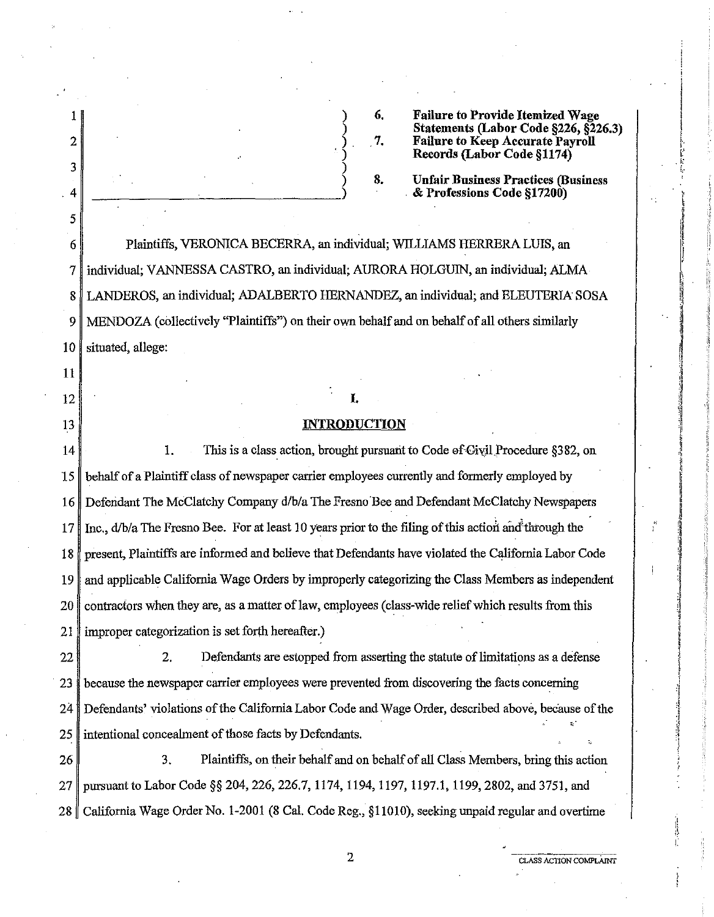| 2  | 6,<br><b>Failure to Provide Itemized Wage</b><br>Statements (Labor Code §226, §226.3)<br><b>Failure to Keep Accurate Payroll</b><br>7.<br>Records (Labor Code §1174) |
|----|----------------------------------------------------------------------------------------------------------------------------------------------------------------------|
| 3  | 8.<br><b>Unfair Business Practices (Business</b>                                                                                                                     |
| 4  | & Professions Code §17200)                                                                                                                                           |
| 5  |                                                                                                                                                                      |
| 6  | Plaintiffs, VERONICA BECERRA, an individual; WILLIAMS HERRERA LUIS, an                                                                                               |
| 7  | individual; VANNESSA CASTRO, an individual; AURORA HOLGUIN, an individual; ALMA                                                                                      |
| 8  | LANDEROS, an individual; ADALBERTO HERNANDEZ, an individual; and ELEUTERIA SOSA                                                                                      |
| 9  | MENDOZA (collectively "Plaintiffs") on their own behalf and on behalf of all others similarly                                                                        |
| 10 | situated, allege:                                                                                                                                                    |
| 11 |                                                                                                                                                                      |
| 12 | I.                                                                                                                                                                   |
| 13 | <b>INTRODUCTION</b>                                                                                                                                                  |
| 14 | This is a class action, brought pursuant to Code of Givil Procedure §382, on<br>1.                                                                                   |
| 15 | behalf of a Plaintiff class of newspaper carrier employees currently and formerly employed by                                                                        |
| 16 | Defendant The McClatchy Company d/b/a The Fresno Bee and Defendant McClatchy Newspapers                                                                              |
| 17 | Inc., d/b/a The Fresno Bee. For at least 10 years prior to the filing of this action and through the                                                                 |
| 18 | present, Plaintiffs are informed and believe that Defendants have violated the California Labor Code                                                                 |
| 19 | and applicable California Wage Orders by improperly categorizing the Class Members as independent                                                                    |
| 20 | contractors when they are, as a matter of law, employees (class-wide relief which results from this                                                                  |
| 21 | improper categorization is set forth hereafter.)                                                                                                                     |
| 22 | Defendants are estopped from asserting the statute of limitations as a defense<br>2.                                                                                 |
| 23 | because the newspaper carrier employees were prevented from discovering the facts concerning                                                                         |
| 24 | Defendants' violations of the California Labor Code and Wage Order, described above, because of the                                                                  |
| 25 | intentional concealment of those facts by Defendants.                                                                                                                |
| 26 | Plaintiffs, on their behalf and on behalf of all Class Members, bring this action<br>3.                                                                              |
| 27 | pursuant to Labor Code §§ 204, 226, 226.7, 1174, 1194, 1197, 1197.1, 1199, 2802, and 3751, and                                                                       |
| 28 | California Wage Order No. 1-2001 (8 Cal. Code Reg., §11010), seeking unpaid regular and overtime                                                                     |
|    |                                                                                                                                                                      |

2 **CLASS ACTION COMPLAINT** 

,· I:'  $\frac{1}{2}$ . t-

 $\frac{1}{2}$ 

ĵ

Ì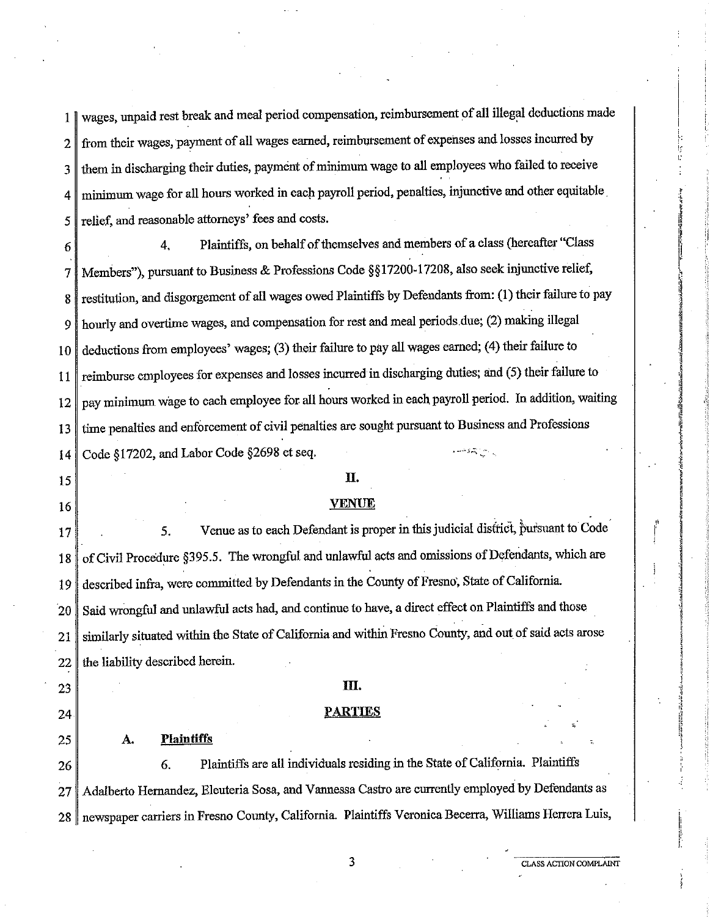1 wages, unpaid rest break and meal period compensation, reimbursement of all illegal deductions made 2 from their wages, payment of all wages earned, reimbursement of expenses and losses incurred by 3 them in discharging their duties, payment of minimum wage to all employees who failed to receive 4 minimum wage for all hours worked in each payroll period, penalties, injunctive and other equitable. 5 relief, and reasonable attorneys' fees and costs.

6 4, Plaintiffs, on behalf of themselves and members of a class (hereafter "Class 7 Members"), pursuantto Business & Professions Code *§§* 17200-17208, also seek injunctive relief, 8 restitution, and disgorgement of all wages owed Plaintiffs by Defendants from: (1) their failure to pay 9 hourly and overtime wages, and compensation for rest and meal periods.due; (2) making illegal 10 deductions from employees' wages; (3) their failure to pay all wages earned; (4) their failure to 11 reimburse employees for expenses and losses incurred in discharging duties; and (5) their failure to 12 pay minimum wage to each employee for all hours worked in each payroll period. In addition, waiting 13 time penalties and enforcement of civil penalties are sought pursuant to Business and Professions 14 Code §17202, and Labor Code §2698 et seq. 15 16 II. **VENUE**   $-4.8\pm0.05$  $17$  5. Venue as to each Defendant is proper in this judicial district, pursuant to Code

18 of Civil Procedure §395.5. The wrongful and unlawful acts and omissions of Defendants, which are 19 described infra, were committed by Defendants in the County of Fresno, State of California. 20 Said wrongful and unlawful acts had, and continue to have, a direct effect on Plaintiffs and those 21 similarly situated within the State of California and within Fresno County, and out of said acts arose  $22$  the liability described herein.

#### m.

#### **PARTIES**

#### **A. Plaintiffs**

23

24

25

26 6. Plaintiffs are all individuals residing in the State of California. Plaintiffs 27 | Adalberto Hernandez, Eleuteria Sosa, and Vannessa Castro are currently employed by Defendants as 28 newspaper carriers in Fresno County, California. Plaintiffs Veronica Becerra, Williams Herrera Luis,

3 **CLASS ACTION COMPLAINT** 

 $\mathfrak{f}$ ,, I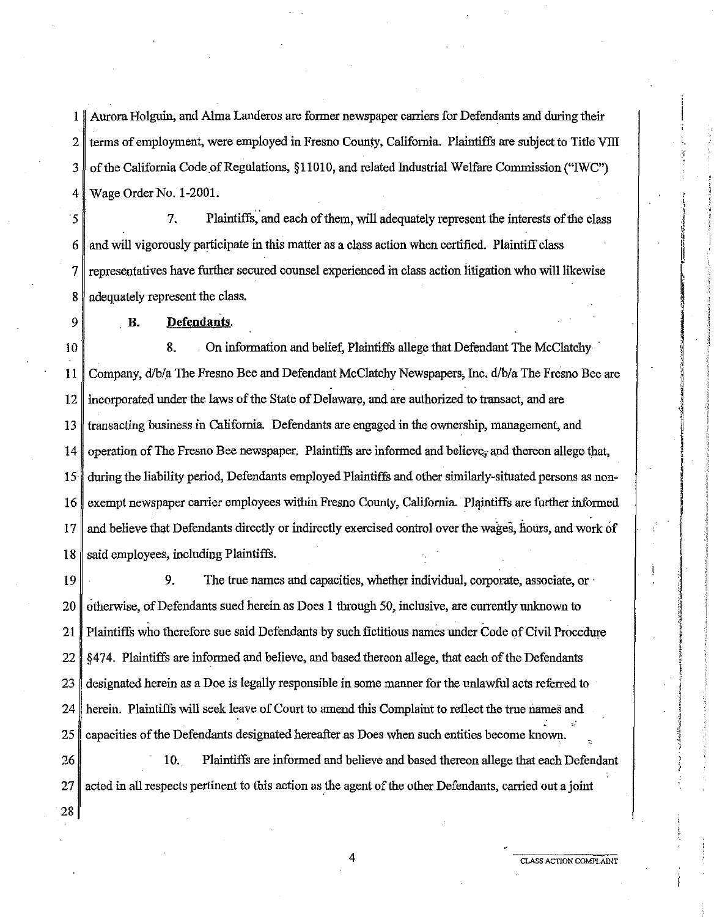1 Aurora Holguin, and Alma Landeros are former newspaper carriers for Defendants and during their  $2 \parallel$  terms of employment, were employed in Fresno County, California. Plaintiffs are subject to Title VIII  $3 \parallel$  of the California Code of Regulations, §11010, and related Industrial Welfare Commission ("IWC") 4 Wage Order No. 1-2001.

*5* 7. Plaintiffs, and each of them, will adequately represent the interests of the class  $6 \parallel$  and will vigorously participate in this matter as a class action when certified. Plaintiff class 7 representatives have further secured counsel experienced in class action litigation who will likewise 8 adequately represent the class.

9

#### . **B. Defendants.**

10 8. . On information and belief, Plaintiffs allege that Defendant The McClatchy · 11 Company, d/b/a The Fresno Bee and Defendant McClatchy Newspapers, Inc. d/b/a The Fresno Bee are 12 incorporated under the laws of the State of Delaware, and are authorized to transact, and are 13 transacting business in California Defendants are engaged in the ownership, management, and 14 operation of The Fresno Bee newspaper. Plaintiffs are informed and believe, and thereon allege that, 15· during the liability period, Defendants employed Plaintiffs and other similarly-situated persons as non-16 exempt newspaper carrier employees within Fresno County, California. Plaintiffs are further informed 17 and believe that Defendants directly or indirectly exercised control over the wages, hours, and work of  $18$  said employees, including Plaintiffs.

19 9. The true names and capacities, whether individual, corporate, associate, or 20 otherwise, of Defendants sued herein as Does 1 through 50, inclusive, are currently unknown to 21 Plaintiffs who therefore sue said Defendants by such fictitious names under Code of Civil Procedure 22 §474. Plaintiffs are informed and believe, and based thereon allege, that each of the Defendants 23 designated herein as a Doe is legally responsible in some manner for the unlawful acts referred to 24 herein. Plaintiffs will seek leave of Court to amend this Complaint to reflect the true names and <sup>~</sup>;:. 25 capacities of the Defendants designated hereafter as Does when such entities become known.

26 10. Plaintiffs are informed and believe and based thereon allege that each Defendant 27 acted in all respects pertinent to this action as the agent of the other Defendants, carried out a joint

28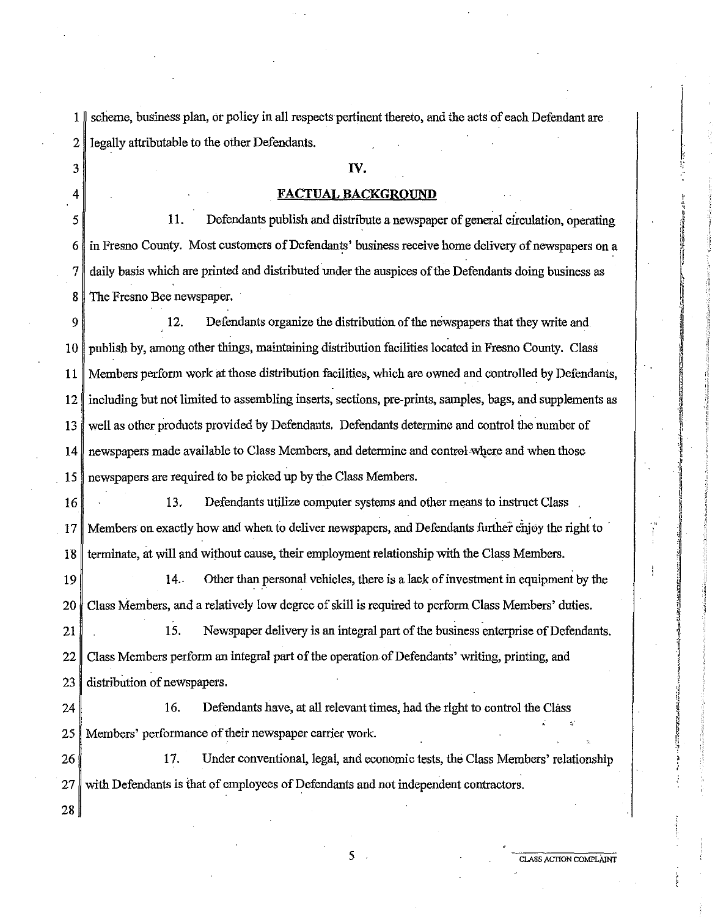1 scheme, business plan, or policy in all respects pertinent thereto, and the acts of each Defendant are 2 legally attributable to the other Defendants.

#### **IV.**

## **FACTUAL BACKGROUND**

 $5 \mid 11.$ Defendants publish and distribute a newspaper of general circulation, operating 6 in Fresno County. Most customers of Defendants' business receive home delivery of newspapers on a 7 daily basis which are printed and distributed under the auspices of the Defendants doing business as 8 The Fresno Bee newspaper.

9 12. Defendants organize the distribution of the newspapers that they write and 10 publish by, among other things, maintaining distribution facilities located in Fresno County. Class 11 Members perform work at those distribution facilities, which are owned and controlled by Defendants, 12 including but not limited to assembling inserts, sections, pre-prints, samples, bags, and supplements as 13 well as other products provided by Defendants. Defendants determine and control the number of 14 newspapers made available to Class Members, and determine and control where and when those 15 newspapers are required to be picked up by the Class Members.

16 16 13. Defendants utilize computer systems and other means to instruct Class 17 Members on exactly how and when to deliver newspapers, and Defendants further ehjoy the right to · 18 terminate, at will and without cause, their employment relationship with the Class Members.

19  $\parallel$  14. Other than personal vehicles, there is a lack of investment in equipment by the 20 Class Members, and a relatively low degree of skill is required to perform Class Members' duties.

21 15. Newspaper delivery is an integral part of the business enterprise of Defendants. 22 Class Members perform an integral part of the operation of Defendants' writing, printing, and 23 distribution of newspapers.

24 16. Defendants have, at all relevant times, had the right to control the Class 25 Members' performance of their newspaper carrier work.

26 17. Under conventional, legal, and economic tests, the Class Members' relationship 27 with Defendants is that of employees of Defendants and not independent contractors.

28

3

4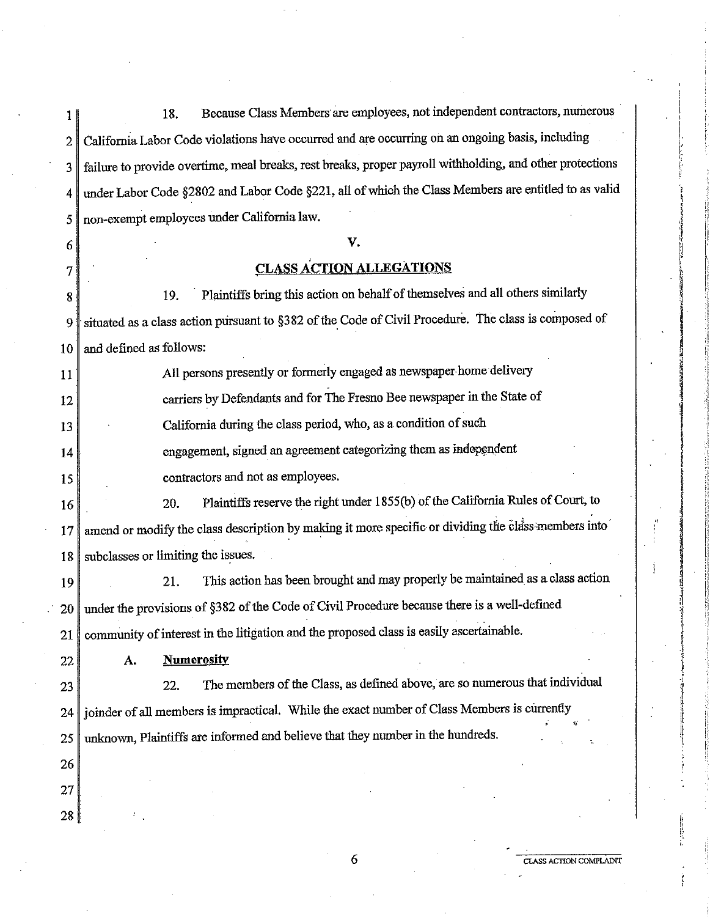1 | 18. Because Class Members are employees, not independent contractors, numerous 2 California Labor Code violations have occurred and are occurring on an ongoing basis, including 3 failure to provide overtime, meal breaks, rest breaks, proper payroll withholding, and other protections 4 under Labor Code §2802 and Labor Code §221, all of which the Class Members are entitled to as valid 5 non-exempt employees under California law. 6

#### **v.**

## **CLASS ACTION ALLEGATIONS**

8 19. · Plaintiffs bring this action on behalf of themselves and all others similarly 9 situated as a class action pursuant to §382 of the Code of Civil Procedure. The class is composed of  $10$  and defined as follows:

| 11 | All persons presently or formerly engaged as newspaper home delivery                   |
|----|----------------------------------------------------------------------------------------|
| 12 | carriers by Defendants and for The Fresno Bee newspaper in the State of                |
| 13 | California during the class period, who, as a condition of such                        |
| 14 | engagement, signed an agreement categorizing them as independent                       |
| 15 | contractors and not as employees.                                                      |
| 16 | Plaintiffs reserve the right under 1855(b) of the California Rules of Court, to<br>20. |
|    | as a as control to the community was the                                               |

17 amend or modify the class description by making it more specific or dividing the class members into 18 subclasses or limiting the issues.

19 21. This action has been brought and may properly be maintained as a class action 20 under the provisions of §382 of the Code of Civil Procedure because there is a well-defined 21 community of interest in the litigation and the proposed class is easily ascertainable.

22

7

**A. Numerosity** 

23 22. The members of the Class, as defined above, are so numerous that individual 24 joinder of all members is impractical. While the exact number of Class Members is currently 25 unknown, Plaintiffs are informed and believe that they number in the hundreds.

26

27

28

 $\vert$ 

 $\vert$ . i *,:*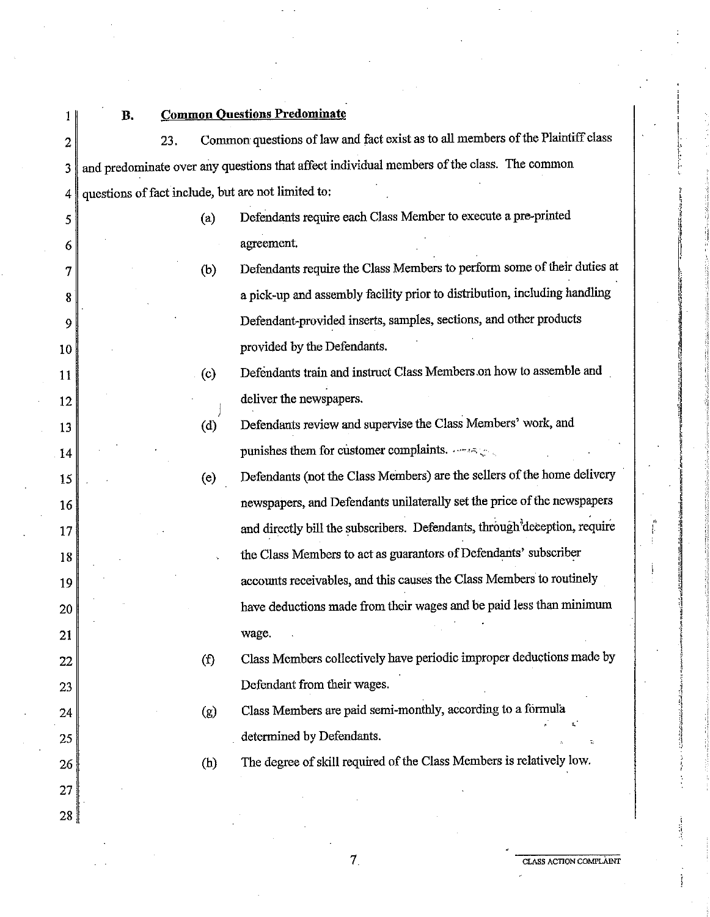| 1                | В. |     |                   | <b>Common Questions Predominate</b>                                                        |
|------------------|----|-----|-------------------|--------------------------------------------------------------------------------------------|
| $\boldsymbol{2}$ |    | 23. |                   | Common questions of law and fact exist as to all members of the Plaintiff class            |
| 3                |    |     |                   | and predominate over any questions that affect individual members of the class. The common |
| 4                |    |     |                   | questions of fact include, but are not limited to:                                         |
| 5                |    |     | (a)               | Defendants require each Class Member to execute a pre-printed                              |
| 6                |    |     |                   | agreement.                                                                                 |
| 7                |    |     | (b)               | Defendants require the Class Members to perform some of their duties at                    |
| 8                |    |     |                   | a pick-up and assembly facility prior to distribution, including handling                  |
| 9                |    |     |                   | Defendant-provided inserts, samples, sections, and other products                          |
| 10               |    |     |                   | provided by the Defendants.                                                                |
| 11               |    |     | $\left( c\right)$ | Defendants train and instruct Class Members on how to assemble and                         |
| 12               |    |     |                   | deliver the newspapers.                                                                    |
| 13               |    |     | (d)               | Defendants review and supervise the Class Members' work, and                               |
| 14               |    |     |                   | punishes them for customer complaints. $\cdots$ is $\zeta$                                 |
| 15               |    |     | (e)               | Defendants (not the Class Members) are the sellers of the home delivery                    |
| 16               |    |     |                   | newspapers, and Defendants unilaterally set the price of the newspapers                    |
| 17               |    |     |                   | and directly bill the subscribers. Defendants, through deception, require                  |
| 18               |    |     |                   | the Class Members to act as guarantors of Defendants' subscriber                           |
| 19               |    |     |                   | accounts receivables, and this causes the Class Members to routinely                       |
| 20               |    |     |                   | have deductions made from their wages and be paid less than minimum                        |
| 21               |    |     |                   | wage.                                                                                      |
| 22               |    |     | $\left( f\right)$ | Class Members collectively have periodic improper deductions made by                       |
| 23               |    |     |                   | Defendant from their wages.                                                                |
| 24               |    |     | (g)               | Class Members are paid semi-monthly, according to a formula                                |
| 25               |    |     |                   | determined by Defendants.                                                                  |
| 26               |    |     | (h)               | The degree of skill required of the Class Members is relatively low.                       |
| 27               |    |     |                   |                                                                                            |
| 28               |    |     |                   |                                                                                            |

 $\|$ . l:'  $\Gamma$  ,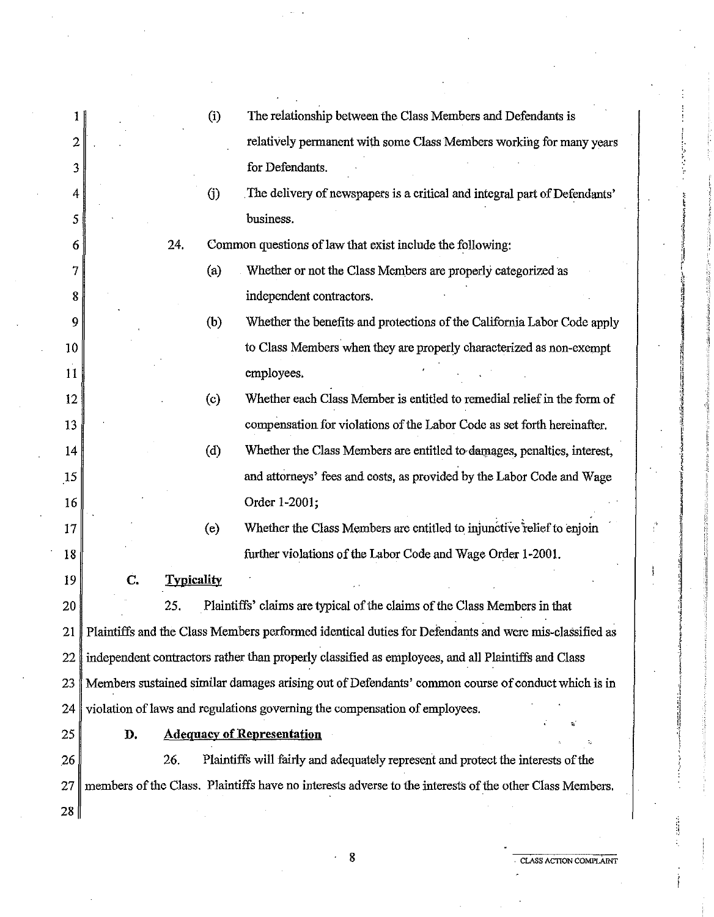| 1         |    |                   | (i)                | The relationship between the Class Members and Defendants is                                            |
|-----------|----|-------------------|--------------------|---------------------------------------------------------------------------------------------------------|
| 2         |    |                   |                    | relatively permanent with some Class Members working for many years                                     |
| 3         |    |                   |                    | for Defendants.                                                                                         |
| 4         |    |                   | (j)                | The delivery of newspapers is a critical and integral part of Defendants'                               |
| 5         |    |                   |                    | business.                                                                                               |
| 6         |    | 24.               |                    | Common questions of law that exist include the following:                                               |
| 7         |    |                   | (a)                | Whether or not the Class Members are properly categorized as                                            |
| 8         |    |                   |                    | independent contractors.                                                                                |
| 9         |    |                   | (b)                | Whether the benefits and protections of the California Labor Code apply                                 |
| 10        |    |                   |                    | to Class Members when they are properly characterized as non-exempt                                     |
| 11        |    |                   |                    | employees.                                                                                              |
| 12        |    |                   | (c)                | Whether each Class Member is entitled to remedial relief in the form of                                 |
| 13        |    |                   |                    | compensation for violations of the Labor Code as set forth hereinafter.                                 |
| 14        |    |                   | $\left( d \right)$ | Whether the Class Members are entitled to damages, penalties, interest,                                 |
| 15        |    |                   |                    | and attorneys' fees and costs, as provided by the Labor Code and Wage                                   |
| 16        |    |                   |                    | Order 1-2001;                                                                                           |
| 17        |    |                   | (e)                | Whether the Class Members are entitled to injunctive relief to enjoin                                   |
| 18        |    |                   |                    | further violations of the Labor Code and Wage Order 1-2001.                                             |
| 19        | C. | <b>Typicality</b> |                    |                                                                                                         |
| 20        |    | 25.               |                    | Plaintiffs' claims are typical of the claims of the Class Members in that                               |
| 21        |    |                   |                    | Plaintiffs and the Class Members performed identical duties for Defendants and were mis-classified as   |
| 22        |    |                   |                    | independent contractors rather than properly classified as employees, and all Plaintiffs and Class      |
| 23        |    |                   |                    | Members sustained similar damages arising out of Defendants' common course of conduct which is in       |
| 24        |    |                   |                    | violation of laws and regulations governing the compensation of employees.                              |
| 25        | D. |                   |                    | <b>Adequacy of Representation</b>                                                                       |
| 26        |    | 26.               |                    | Plaintiffs will fairly and adequately represent and protect the interests of the                        |
| 27        |    |                   |                    | members of the Class. Plaintiffs have no interests adverse to the interests of the other Class Members. |
| $28 \mid$ |    |                   |                    |                                                                                                         |
|           |    |                   |                    |                                                                                                         |

**8 CLASS ACTION COMPLAINT** 

 $\frac{1}{2}$ 

Ì

í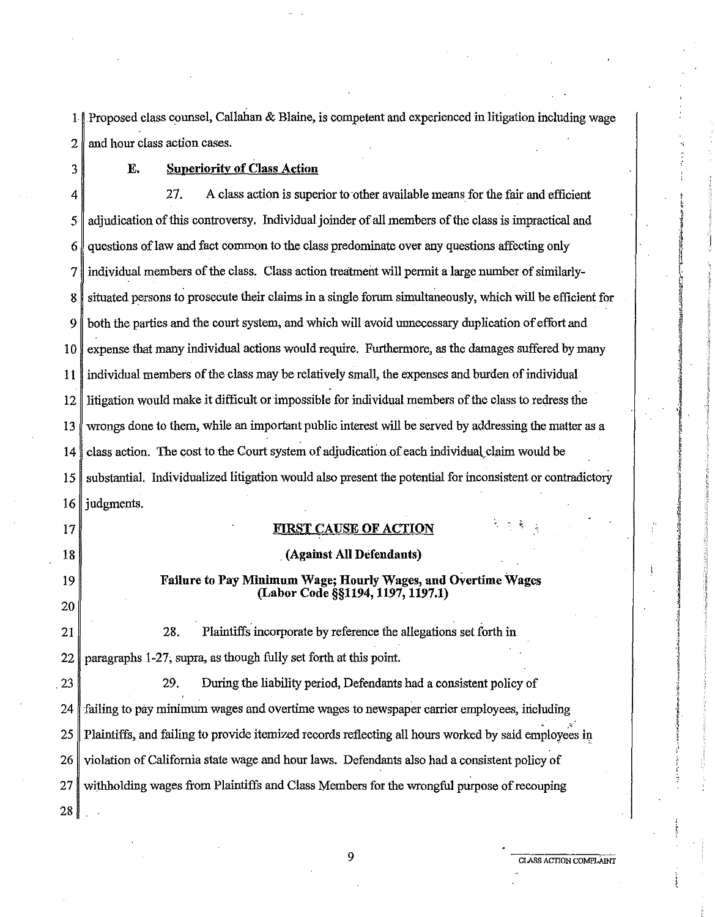1 Proposed class counsel, Callahan & Blaine, is competent and experienced in litigation including wage 2 and hour class action cases.

3

## **E. Superiority of Class Action**

4 27. A class action is superior to other available means for the fair and efficient 5 diudication of this controversy. Individual joinder of all members of the class is impractical and  $6$  questions of law and fact common to the class predominate over any questions affecting only 7 individual members of the class. Class action treatment will permit a large number of similarly-8 situated persons to prosecute their claims in a single forum simultaneously, which will be efficient for 9 both the parties and the court system, and which will avoid unnecessary duplication of effurt and 10 expense that many individual actions would require. Furthermore, as the damages suffered by many 11 individual members of the class may be relatively small, the expenses and burden of individual 12 litigation would make it difficult or impossible for individual members of the class to redress the 13 wrongs done to them, while an important public interest will be served by addressing the matter as a 14 class action. The cost to the Court system of adjudication of each individual claim would be 15 substantial. Individualized litigation would also present the potential for inconsistent or contradictory  $16$  judgments.

17

18

19 20 **FIRST CAUSE OF ACTION** 

# . **(Against All Defendants)**

## **Failure to Pay Minimum Wage; Hourly Wages, and Overtime Wages (Labor Code §§1194, 1197, 1197.1)**

21 28. Plaintiffs incorporate by reference the allegations set forth in 22 paragraphs 1-27; supra, as though fully set forth at this point.

23 29. During the liability period, Defendants had a consistent policy of  $24$  failing to pay minimum wages and overtime wages to newspaper carrier employees, including  $25$  Plaintiffs, and failing to provide itemized records reflecting all hours worked by said employees in 26 violation of California state wage and hour laws. Defendants also had a consistent policy of 27 withholding wages from Plaintiffs and Class Members for the wrongful purpose of recouping 28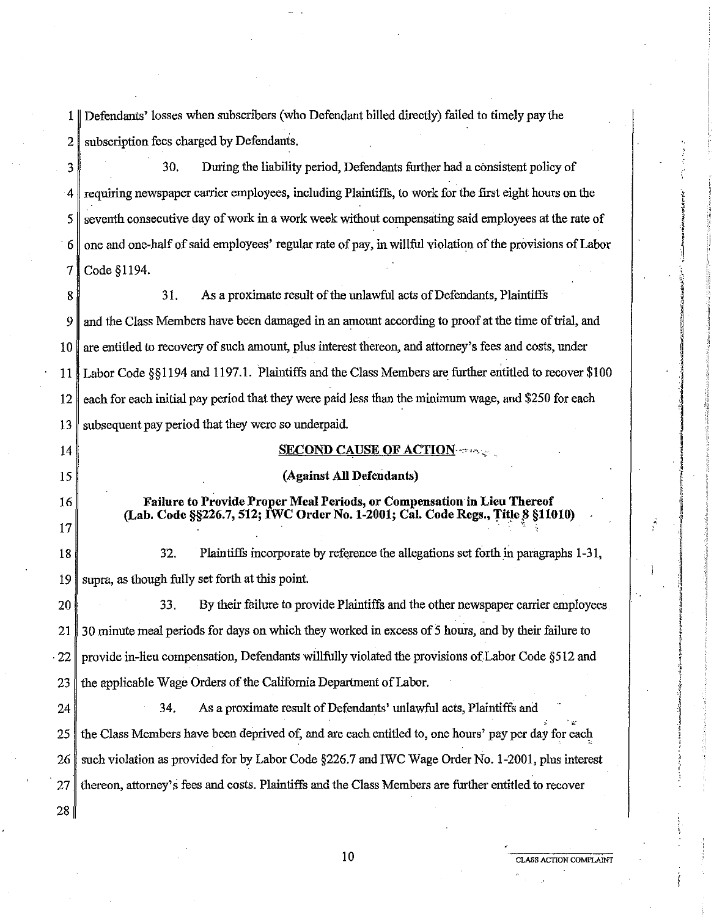1 Defendants' losses when subscribers (who Defendant billed directly) failed to timely pay the 2 subscription fees charged by Defendants.

3 30. During the liability period, Defendants further had a consistent policy of 4 requiring newspaper carrier employees, including Plaintiffs, to work for the first eight hours on the  $5 \parallel$  seventh consecutive day of work in a work week without compensating said employees at the rate of · *6* one and one-half of said employees' regular rate of pay, in willful violation of the provisions of Labor 7 Code §1194.

8 31. As a proximate result of the unlawful acts of Defendants, Plaintiffs 9 and the Class Members have been damaged in an amount according to proof at the time of trial, and 10 are entitled to recovery of such amount, plus interest thereon, and attorney's fees and costs, under 11 Labor Code §§1194 and 1197.1. Plaintiffs and the Class Members are further entitled to recover \$100 12 each for each initial pay period that they were paid less than the minimum wage, and \$250 for each 13 subsequent pay period that they were so underpaid.

#### **SECOND CAUSE OF ACTION-** $\sim$ **,**

#### **(Against All Defendants)**

**Failure to Provide Proper Meal Periods, or Compensation in Lieu Thereof (Lab. Code §§226.7, 512; IWC Order No. 1-2001; Cal. Code Regs., TitJe !3 §11010)** . . . ~ .

18 32. Plaintiffs incorporate by reference the allegations set forth in paragraphs 1-31, 19 supra, as though fully set forth at this point.

14

15

16

17

20 33. By their failure to provide Plaintiffs and the other newspaper carrier employees 21 30 minute meal periods for days on which they worked in excess of 5 hours, and by their failure to . 22 provide in-lieu compensation, Defendants willfully violated the provisions of Labor Code §512 and  $23$  the applicable Wage Orders of the California Department of Labor.

24 34. As a proximate result of Defendants' unlawful acts, Plaintiffs and 25 the Class Members have been deprived of, and are each entitled to, one hours' pay per day for each 26 such violation as provided for by Labor Code §226.7 and IWC Wage Order No. 1-2001, plus interest 27 thereon, attorney's fees and costs. Plaintiffs and the Class Members are further entitled to recover 28

### **10 CLASS ACTION COMPLAINT**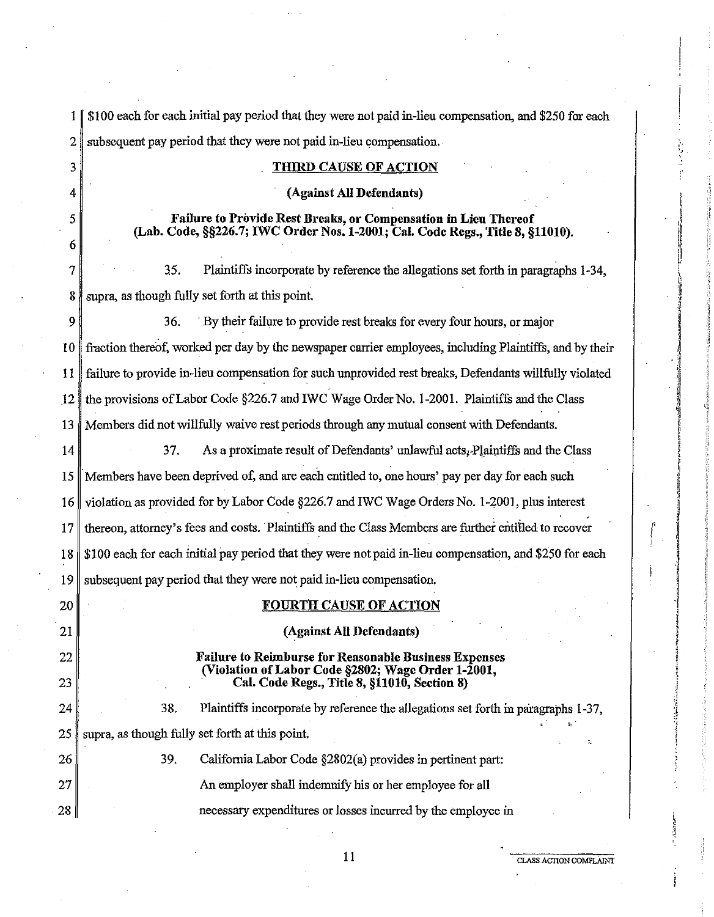| 1 <sup>1</sup> | \$100 each for each initial pay period that they were not paid in-lieu compensation, and \$250 for each                                           |
|----------------|---------------------------------------------------------------------------------------------------------------------------------------------------|
| 2              | subsequent pay period that they were not paid in-lieu compensation.                                                                               |
| 3              | <b>THIRD CAUSE OF ACTION</b>                                                                                                                      |
| 4              | (Against All Defendants)                                                                                                                          |
| 5<br>6         | Failure to Provide Rest Breaks, or Compensation in Lieu Thereof<br>(Lab. Code, §§226.7; IWC Order Nos. 1-2001; Cal. Code Regs., Title 8, §11010). |
| 7              | Plaintiffs incorporate by reference the allegations set forth in paragraphs 1-34,<br>35.                                                          |
| 8              | supra, as though fully set forth at this point.                                                                                                   |
| 9              | By their failure to provide rest breaks for every four hours, or major<br>36.                                                                     |
| 10             | fraction thereof, worked per day by the newspaper carrier employees, including Plaintiffs, and by their                                           |
| $\mathbf{11}$  | failure to provide in-lieu compensation for such unprovided rest breaks, Defendants willfully violated                                            |
| 12             | the provisions of Labor Code §226.7 and IWC Wage Order No. 1-2001. Plaintiffs and the Class                                                       |
| 13             | Members did not willfully waive rest periods through any mutual consent with Defendants.                                                          |
| 14             | 37.<br>As a proximate result of Defendants' unlawful acts, Plaintiffs and the Class                                                               |
| 15             | Members have been deprived of, and are each entitled to, one hours' pay per day for each such                                                     |
| 16             | violation as provided for by Labor Code §226.7 and IWC Wage Orders No. 1-2001, plus interest                                                      |
| 17             | thereon, attorney's fees and costs. Plaintiffs and the Class Members are further entitled to recover                                              |
| 18             | \$100 each for each initial pay period that they were not paid in-lieu compensation, and \$250 for each                                           |
| 19             | subsequent pay period that they were not paid in-lieu compensation.                                                                               |
| 20             | <b>FOURTH CAUSE OF ACTION</b>                                                                                                                     |
| 21             | (Against All Defendants)                                                                                                                          |
| 22             | <b>Failure to Reimburse for Reasonable Business Expenses</b>                                                                                      |
| 23             | (Violation of Labor Code §2802; Wage Order 1-2001,<br>Cal. Code Regs., Title 8, §11010, Section 8)                                                |
| 24             | 38.<br>Plaintiffs incorporate by reference the allegations set forth in paragraphs 1-37,                                                          |
| 25             | supra, as though fully set forth at this point.                                                                                                   |
| 26             | 39.<br>California Labor Code §2802(a) provides in pertinent part:                                                                                 |
| 27             | An employer shall indemnify his or her employee for all                                                                                           |
| 28             | necessary expenditures or losses incurred by the employee in                                                                                      |

,, j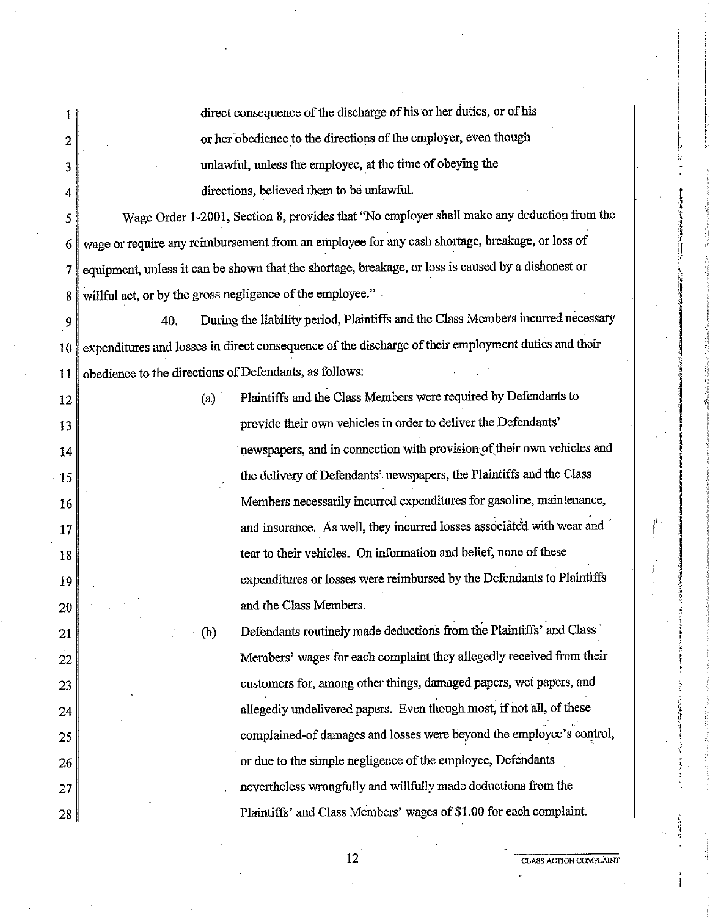|                | direct consequence of the discharge of his or her duties, or of his                                 |                                                                        |
|----------------|-----------------------------------------------------------------------------------------------------|------------------------------------------------------------------------|
| $\overline{c}$ | or her obedience to the directions of the employer, even though                                     |                                                                        |
| 3              | unlawful, unless the employee, at the time of obeying the                                           |                                                                        |
| 4              | directions, believed them to be unlawful.                                                           |                                                                        |
| 5              | Wage Order 1-2001, Section 8, provides that "No employer shall make any deduction from the          |                                                                        |
| 6              | wage or require any reimbursement from an employee for any cash shortage, breakage, or loss of      |                                                                        |
| 7              | equipment, unless it can be shown that the shortage, breakage, or loss is caused by a dishonest or  |                                                                        |
| 8              | willful act, or by the gross negligence of the employee."                                           |                                                                        |
| 9              | During the liability period, Plaintiffs and the Class Members incurred necessary<br>40.             |                                                                        |
| 10             | expenditures and losses in direct consequence of the discharge of their employment duties and their |                                                                        |
| 11             | obedience to the directions of Defendants, as follows:                                              |                                                                        |
| 12             | Plaintiffs and the Class Members were required by Defendants to<br>(a)                              |                                                                        |
| 13             | provide their own vehicles in order to deliver the Defendants'                                      |                                                                        |
| 14             |                                                                                                     | newspapers, and in connection with provision of their own vehicles and |
| 15             | the delivery of Defendants' newspapers, the Plaintiffs and the Class                                |                                                                        |
| 16             |                                                                                                     | Members necessarily incurred expenditures for gasoline, maintenance,   |
| 17             |                                                                                                     | and insurance. As well, they incurred losses associated with wear and  |
| 18             | tear to their vehicles. On information and belief, none of these                                    |                                                                        |
| 19             |                                                                                                     | expenditures or losses were reimbursed by the Defendants to Plaintiffs |
| 20             | and the Class Members.                                                                              |                                                                        |
| 21             | (b)                                                                                                 | Defendants routinely made deductions from the Plaintiffs' and Class    |
| 22             |                                                                                                     | Members' wages for each complaint they allegedly received from their   |
| 23             | customers for, among other things, damaged papers, wet papers, and                                  |                                                                        |
| 24             | allegedly undelivered papers. Even though most, if not all, of these                                |                                                                        |
| 25             |                                                                                                     | complained-of damages and losses were beyond the employee's control,   |
| 26             | or due to the simple negligence of the employee, Defendants                                         |                                                                        |
| 27             | nevertheless wrongfully and willfully made deductions from the                                      |                                                                        |
| 28             | Plaintiffs' and Class Members' wages of \$1.00 for each complaint.                                  |                                                                        |

12 **CLASS ACTION COM'PLAINT** 

!

f ·'

-~ ' ·l ;~ 'l l !) ., ; ., fi  $\frac{1}{2}$ 

I '1 ! ' ~ l

January 1944.<br>Mga ang 'j ' fl I'  $\mathbf{r}$ f ! I

i i i i i i i marrë<br>I i i i i i i i i i i marrë

i i landi<br>|-<br>| Sandalandan pertama landi angles

:l 1 ·1

**Independent in American**<br>Independent in American Independent

;

:l !l ·; • l

 $\mathbf{d}$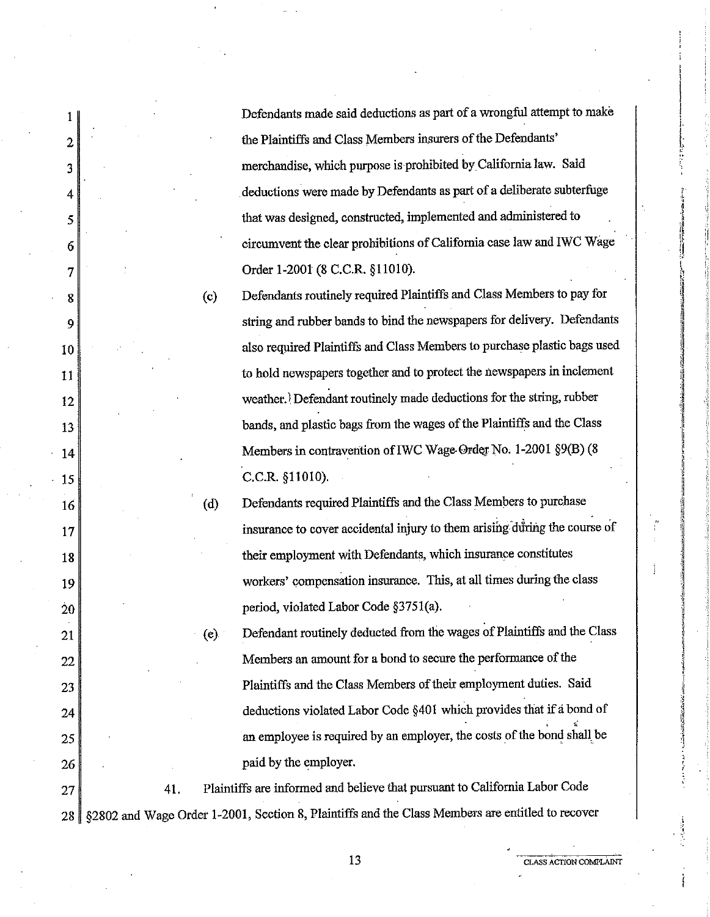Defendants made said deductions as part of a wrongful attempt to make the Plaintiffs and Class Members insurers of the Defendants' merchandise, which purpose is prohibited by California law. Said . deductions were made by Defendants as part of a deliberate subterfuge that was designed, constructed, implemented and administered to circmnvent the clear prohibitions of California case law and IWC Wage Order 1-2001 (8 C.C.R. §11010).

Defendants routinely required Plaintiffs and Class Members to pay for string and rubber bands to bind the newspapers for delivery. Defendants also required Plaintiffs and Class Members to purchase plastic bags used to hold newspapers together and to protect the newspapers in inclement weather. Defendant routinely made deductions for the string, rubber bands, and plastic bags from the wages of the Plaintiffs and the Class Members in contravention of IWC Wage-Order No. 1-2001 §9(B) (8 C.C.R. §11010).

(c)

(d)

I

2

3

4

5

6

7

8

9

10

11

12

13

14

15

16

17

18

19

20

21

22

23

24

25

26

Defendants required Plaintiffs and the Class Members to purchase insurance to cover accidental injury to them arising during the course of their employment with Defendants, which insurance constitutes workers' compensation insurance. This, at all times during the class period, violated Labor Code §3751(a).

(e) Defendant routinely deducted from the wages of Plaintiffs and the Class Members an amount for a bond to secure the performance of the Plaintiffs and the Class Members of their employment duties. Said deductions violated Labor Code §401 which provides that if a bond of  $\cdot$ ;; an employee is required by an employer, the costs of the bond shall be paid by the employer.

 $27$  41. Plaintiffs are informed and believe that pursuant to California Labor Code 28 §2802 and Wage Order 1-2001, Section 8, Plaintiffs and the Class Members are entitled to recover

13 **CLASS ACTION COMPLAINT**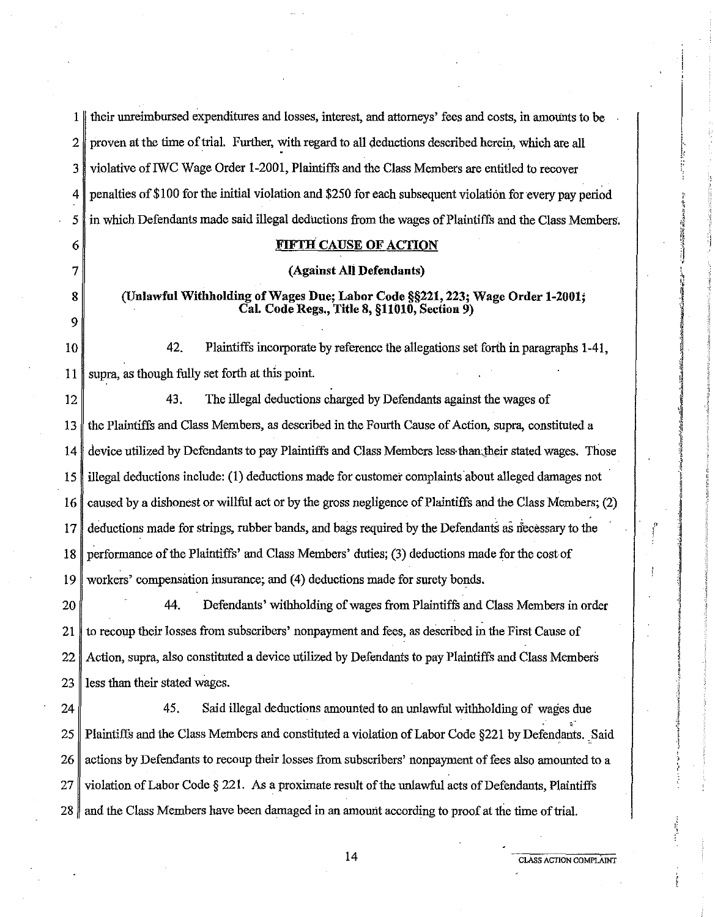1 I their unreimbursed expenditures and losses, interest, and attorneys' fees and costs, in amounts to be  $2 \parallel$  proven at the time of trial. Further, with regard to all deductions described herein, which are all 3 violative ofIWC Wage Order 1-2001, Plaintiffs and the Class Members are entitled to recover 4 penalties of \$100 for the initial violation and \$250 for each subsequent violation for every pay period 5 in which Defendants made said illegal dednctions from the wages of Plaintiffs and the Class Members. 6 7 **8**  9 10 **FIFTH CAUSE OF ACTION (Against Ali Defendants) (Unlawful Withholding of Wages Due; Labor Code §§221, 223; Wage Order 1-2001; CaL Code Regs., Title 8, §11010, Section 9)**  42. Plaintiffs incorporate by reference the allegations set forth in paragraphs 1-41, 11 supra, as though fully set forth at this point. 12 43. The illegal deductions charged by Defendants against the wages of 13 the Plaintiffs and Class Members, as described in the Fourth Cause of Action, supra, constituted a 14 device utilized by Defendants to pay Plaintiffs and Class Members less·than,their stated wages. Those 15 illegal deductions include: (1) deductions made for customer complaints about alleged damages not 16 caused by a dishonest or willful act or by the gross negligence of Plaintiffs and the Class Members; (2) 17 deductions made for strings, rubber bands, and bags required by the Defendants as necessary to the 18 performance of the Plaintiffs' and Class Members' duties; (3) deductions made for the cost of 19 workers' compensation insurance; and (4) deductions made for surety bonds. 20 44. Defendants' withholding of wages from Plaintiffs and Class Members in order 21 to recoup their losses from subscribers' nonpayment and fees, as described in the *First Cause* of 22 Action, supra, also constituted a device utilized by Defendants to pay Plaintiffs and Class Members  $23$  less than their stated wages. 24  $\parallel$  45. Said illegal deductions amounted to an unlawful withholding of wages due ,, 25 Plaintiffs and the Class Members and constituted a violation of Labor Code §221 by Defendants .. Said 26 actions by Defendants to recoup their losses from subscribers' nonpayment of fees also amounted to a 27 violation of Labor Code § 221. As a proximate result of the unlawful acts of Defendants, Plaintiffs 28 and the Class Members have been damaged in an amount according to proof at the time of trial.

14 CLASS ACTION COMPLAINT

,, I

f .,. ' " i

ii .,  $\frac{1}{2}$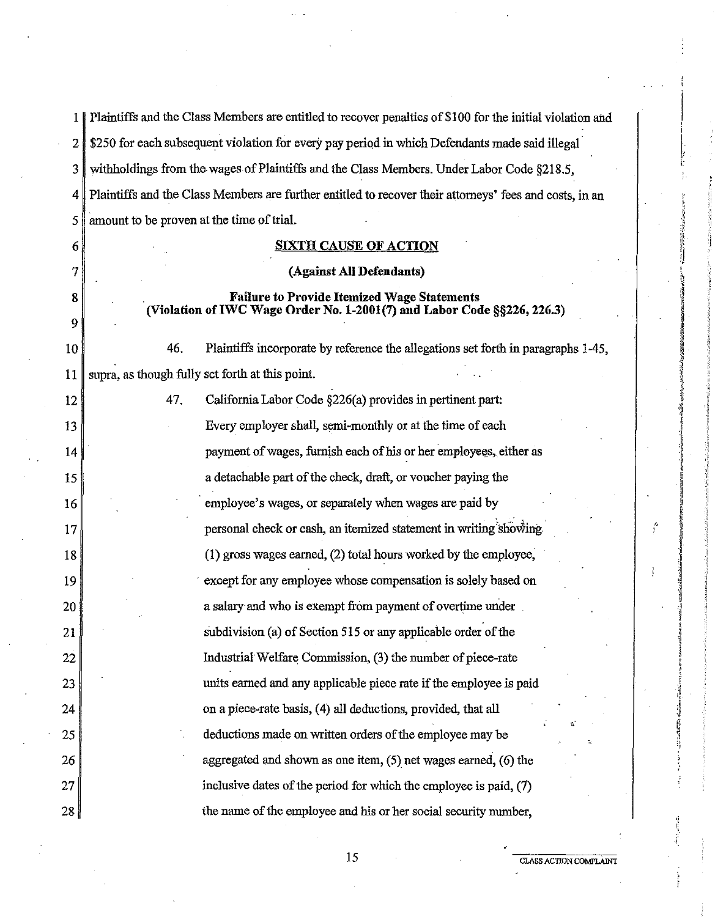1 | Plaintiffs and the Class Members are entitled to recover penalties of \$100 for the initial violation and 2 \$250 for each subsequent violation for every pay period in which Defendants made said illegal· 3 withholdings from the.wages.of Plaintiffs and the Class Members. Under Labor Code §218.5, 4 Plaintiffs and the Class Members are further entitled to recover their attorneys' fees and costs, in an 5 amount to be proven at the time of trial. 6 7 **8**  9 10 **SIXTH CAUSE OF ACTION (Against All Defendants) Failure to Provide Itemized Wage Statements (Violation ofIWC Wage Order No. 1-2001(7) and Labor Code §§226, 226.3)**  46. Plaintiffs incorporate by reference the allegations set forth in paragraphs 1-45,  $11$  supra, as though fully set forth at this point.  $12$  |  $47.$ 13 14 15 16 17 18 19 20 21 22 23 24 25 26 27 28 California Labor Code §226(a) provides in pertinent part: Every employer shall, semi-monthly or at the time of each payment of wages, furnish each of his or her employees, either as a detachable part of the check, draft, or voucher paying the employee's wages, or separately when wages are paid by personal check or cash, an itemized statement in writing showing (1) gross wages earned, (2) total hours worked by the employee, except for any employee whose compensation is solely based on a salary·and who is exempt from payment of overtime under subdivision (a) of Section 515 or any applicable order of the Industriat Welfare Commission, (3) the number of piece-rate units earned and any applicable piece rate if the employee is paid on a piece-rate basis, (4) all deductions, provided, that all deductions made on written orders of the employee may be aggregated and shown as one item, (5) net wages earned, (6) the inclusive dates of the period for which the employee is paid, (7) the name of the employee and his or her social security number,

 $\left| \right|$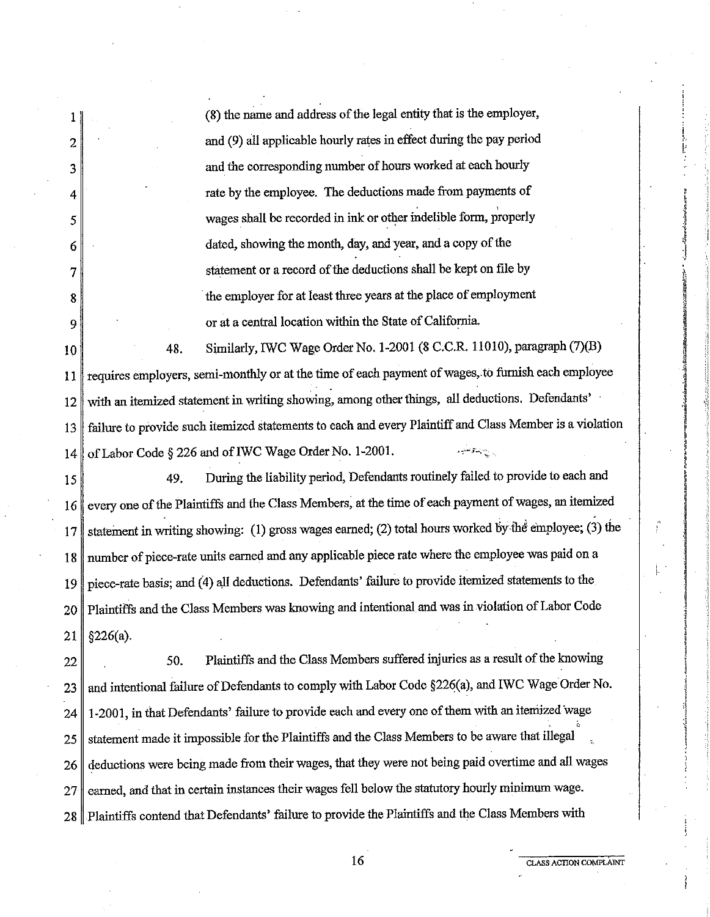1 2 3 4 5 6 7 8 9  $10$  48. (8) the name and address of the legal entity that is the employer, and (9) all applicable hourly rates in effect during the pay period and the corresponding number of hours worked at each hourly rate by the employee. The deductions made from payments of wages shall be recorded in ink or other indelible form, properly dated, showing the month, day, and year, and a copy of the statement or a record of the deductions shall be kept on file by the employer for at least three years at the place of employment or at a central location within the State of California. Similarly, IWC Wage Order No. 1-2001 (8 C.C.R. 11010), paragraph (7)(B) 11 requires employers, semi-monthly or at the time of each payment of wages, to furnish each employee 12 with an itemized statement in writing showing, among other things, all deductions. Defendants' 13 failure to provide such itemized statements to each and every Plaintiff and Class Member is a violation 14 of Labor Code § 226 and of IWC Wage Order No. 1-2001. 15 49. During the liability period, Defendants routinely failed to provide to each and 16 every one of the Plaintiffs and the Class Members, at the time of each payment of wages, an itemized 17 statement in writing showing: (1) gross wages earned; (2) total hours worked by the employee; (3) the 18 number of piece-rate units earned and any applicable piece rate where the employee was paid on a 19 piece-rate basis; and (4) all deductions. Defendants' failure to provide itemized statements to the 20 Plaintiffs and the Class Members was knowing and intentional and was in violation of Labor Code  $21 \parallel \frac{6}{226(a)}$ . 22 | 50. Plaintiffs and the Class Members suffered injuries as a result of the knowing 23 and intentional failure of Defendants to comply with Labor Code §226(a), and IWC Wage Order No. 24 | 1-2001, in that Defendants' failure to provide each and every one of them with an itemized wage 25 statement made it impossible for the Plaintiffs and the Class Members to be aware that illegal 26 deductions were being made from their wages, that they were not being paid overtime and all wages

27 earned, and that in certain instances their wages fell below the statutory hourly minimum wage.

28 Plaintiffs contend that Defendants' failure to provide the Plaintiffs and the Class Members with

16 **CLASS ACTION COMPLAINT** 

' !

 $\frac{a}{b}$ 

i \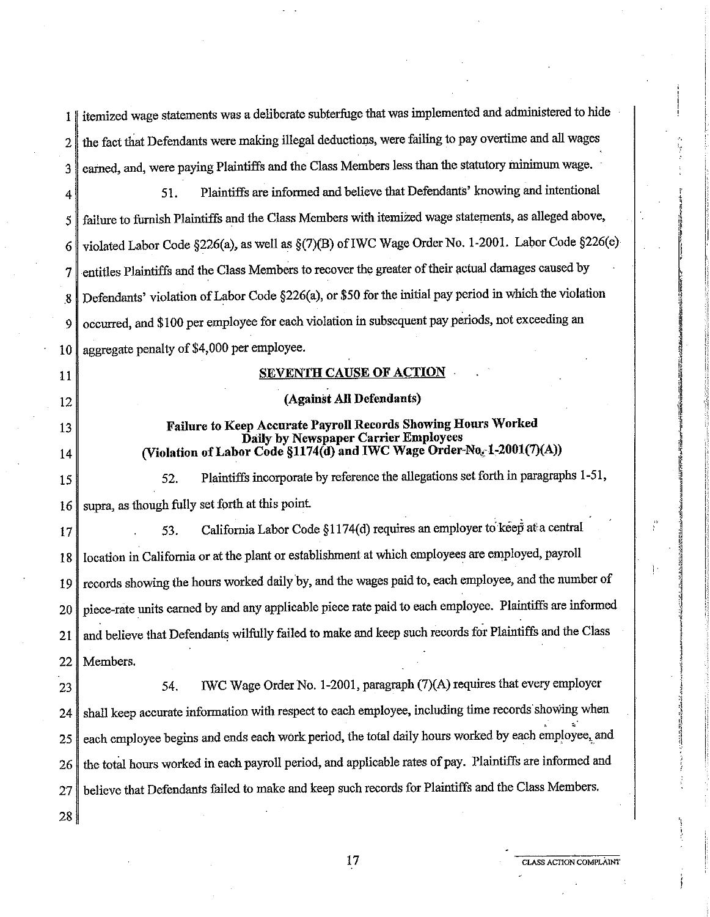|                  | itemized wage statements was a deliberate subterfuge that was implemented and administered to hide      |
|------------------|---------------------------------------------------------------------------------------------------------|
| 2                | the fact that Defendants were making illegal deductions, were failing to pay overtime and all wages     |
| 3                | earned, and, were paying Plaintiffs and the Class Members less than the statutory minimum wage.         |
| 4                | Plaintiffs are informed and believe that Defendants' knowing and intentional<br>51.                     |
| 5                | failure to furnish Plaintiffs and the Class Members with itemized wage statements, as alleged above,    |
| 6                | violated Labor Code §226(a), as well as §(7)(B) of IWC Wage Order No. 1-2001. Labor Code §226(e)        |
| 7                | entitles Plaintiffs and the Class Members to recover the greater of their actual damages caused by      |
| $\boldsymbol{8}$ | Defendants' violation of Labor Code §226(a), or \$50 for the initial pay period in which the violation  |
| 9                | occurred, and \$100 per employee for each violation in subsequent pay periods, not exceeding an         |
| 10               | aggregate penalty of \$4,000 per employee.                                                              |
| 11               | <b>SEVENTH CAUSE OF ACTION</b>                                                                          |
| 12               | (Against All Defendants)                                                                                |
| 13               | Failure to Keep Accurate Payroll Records Showing Hours Worked<br>Daily by Newspaper Carrier Employees   |
| 14               | (Violation of Labor Code §1174(d) and IWC Wage Order-No. 1-2001(7)(A))                                  |
| 15               | Plaintiffs incorporate by reference the allegations set forth in paragraphs 1-51,<br>52.                |
| 16               | supra, as though fully set forth at this point.                                                         |
| 17               | California Labor Code §1174(d) requires an employer to keep at a central<br>53.                         |
| 18               | location in California or at the plant or establishment at which employees are employed, payroll        |
| 19               | records showing the hours worked daily by, and the wages paid to, each employee, and the number of      |
| 20               | piece-rate units earned by and any applicable piece rate paid to each employee. Plaintiffs are informed |
| 21               | and believe that Defendants wilfully failed to make and keep such records for Plaintiffs and the Class  |
| 22               | Members.                                                                                                |
| 23               | IWC Wage Order No. 1-2001, paragraph (7)(A) requires that every employer<br>54.                         |
| 24               | shall keep accurate information with respect to each employee, including time records showing when      |
| 25               | each employee begins and ends each work period, the total daily hours worked by each employee, and      |
| 26               | the total hours worked in each payroll period, and applicable rates of pay. Plaintiffs are informed and |
| 27               | believe that Defendants failed to make and keep such records for Plaintiffs and the Class Members.      |
| 28               |                                                                                                         |

 $\frac{\theta}{L}$ 

 $\mathbf{1}$  .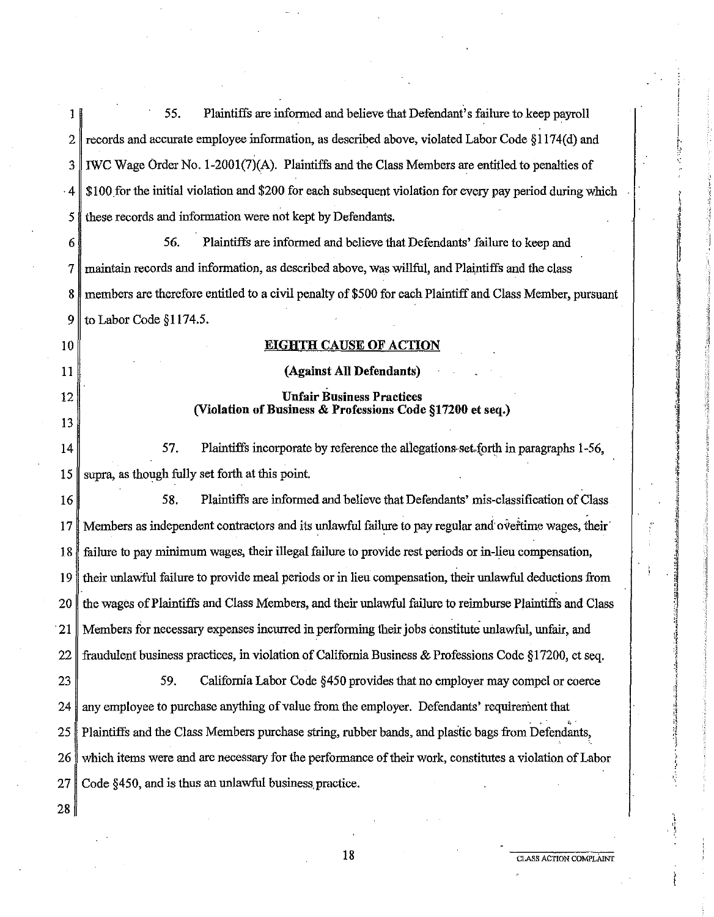| 1         | 55.<br>Plaintiffs are informed and believe that Defendant's failure to keep payroll                       |
|-----------|-----------------------------------------------------------------------------------------------------------|
| 2         | records and accurate employee information, as described above, violated Labor Code §1174(d) and           |
| 3         | IWC Wage Order No. 1-2001(7)(A). Plaintiffs and the Class Members are entitled to penalties of            |
| $\cdot$ 4 | \$100 for the initial violation and \$200 for each subsequent violation for every pay period during which |
| 5         | these records and information were not kept by Defendants.                                                |
| 6         | 56.<br>Plaintiffs are informed and believe that Defendants' failure to keep and                           |
| 7         | maintain records and information, as described above, was willful, and Plaintiffs and the class           |
| 8         | members are therefore entitled to a civil penalty of \$500 for each Plaintiff and Class Member, pursuant  |
| 9         | to Labor Code §1174.5.                                                                                    |
| 10        | <b>EIGHTH CAUSE OF ACTION</b>                                                                             |
| 11        | (Against All Defendants)                                                                                  |
| 12        | <b>Unfair Business Practices</b><br>(Violation of Business & Professions Code §17200 et seq.)             |
| 13        |                                                                                                           |
| 14        | Plaintiffs incorporate by reference the allegations set forth in paragraphs 1-56,<br>57.                  |
| 15        | supra, as though fully set forth at this point.                                                           |
| 16        | 58.<br>Plaintiffs are informed and believe that Defendants' mis-classification of Class.                  |
| 17        | Members as independent contractors and its unlawful failure to pay regular and overtune wages, their      |
| 18        | failure to pay minimum wages, their illegal failure to provide rest periods or in-lieu compensation,      |
| 19        | their unlawful failure to provide meal periods or in lieu compensation, their unlawful deductions from    |
| 20        | the wages of Plaintiffs and Class Members, and their unlawful failure to reimburse Plaintiffs and Class   |
| 21        | Members for necessary expenses incurred in performing their jobs constitute unlawful, unfair, and         |
| 22        | fraudulent business practices, in violation of California Business & Professions Code §17200, et seq.     |
| 23        | California Labor Code §450 provides that no employer may compel or coerce<br>59.                          |
| 24        | any employee to purchase anything of value from the employer. Defendants' requirement that                |
| 25        | Plaintiffs and the Class Members purchase string, rubber bands, and plastic bags from Defendants,         |
| 26        | which items were and are necessary for the performance of their work, constitutes a violation of Labor    |
| 27        | Code §450, and is thus an unlawful business practice.                                                     |
| 28        |                                                                                                           |

ł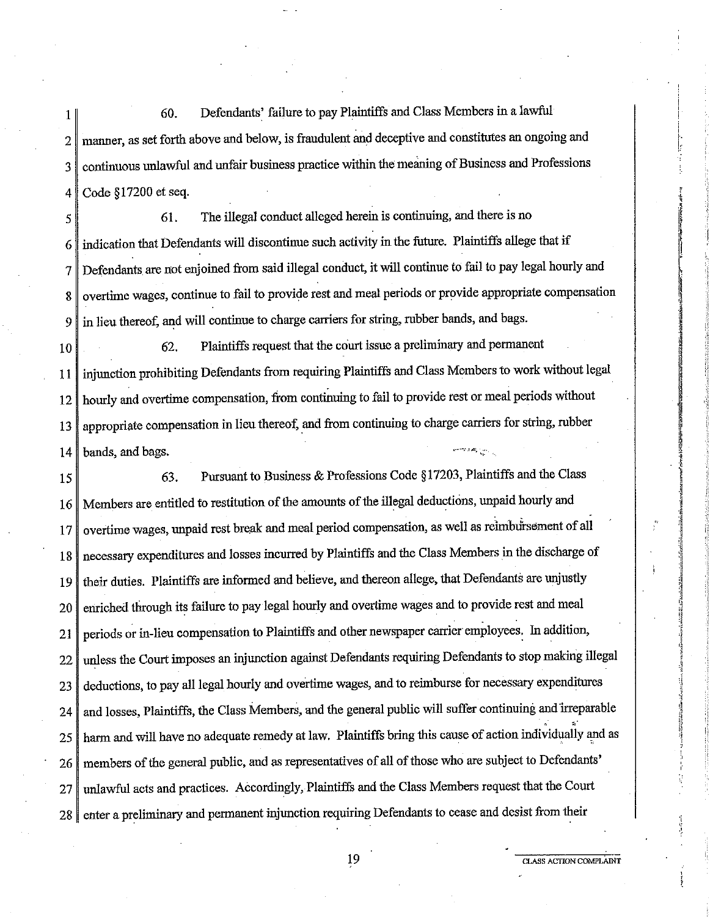1 60. Defendants' failure to pay Plaintiffs and Class Members in a lawful 2 manner, as set forth above and below, is fraudulent and deceptive and constitutes an ongoing and 3 continuous unlawful and unfair business practice within the meaning of Business and Professions 4 Code § 17200 et seq.

5 **61.** The illegal conduct alleged herein is continuing, and there is no  $6 \parallel$  indication that Defendants will discontinue such activity in the future. Plaintiffs allege that if 7 Defendants are not enjoined from said illegal conduct, it will continue to fail to pay legal hourly and 8 overtime wages, continue to fail to provide rest and meal periods or provide appropriate compensation 9 in lieu thereof, and will continue to charge carriers for string, rubber bands, and bags.

10 62. Plaintiffs request that the court issue a preliminary and permanent 11 injunction prohibiting Defendants from requiring Plaintiffs and Class Members to work without legal 12 hourly and overtime compensation, from continuing to fail to provide rest or meal periods without 13 appropriate compensation in lieu thereof, and from continuing to charge carriers for string, rubber 14 bands, and bags.

15 63. Pursuant to Business & Professions Code § 17203, Plaintiffs and the Class 16 Members are entitled to restitution of the amounts of the illegal deductions, unpaid hourly and 17 overtime wages, unpaid rest break and meal period compensation, as well as reimbursement of all 18 necessary expenditures and losses incurred by Plaintiffs and the Class Members in the discharge of 19 their duties. Plaintiffs are informed and believe, and thereon allege, that Defendants are unjustly 20 enriched through its failure to pay legal hourly and overtime wages and to provide rest and meal 21 periods or in-lieu compensation to Plaintiffs and other newspaper carrier employees. In addition, 22 unless the Court imposes an injunction against Defendants requiring Defendants to stop making illegal 23 deductions, to pay all legal hourly and overtime wages, and to reimburse for necessary expenditures 24 and losses, Plaintiffs, the Class Members, and the general public will suffer continuing and irreparable  $\approx$ 25 harm and will have no adequate remedy at law. Plaintiffs bring this cause of action individually and as 26 members of the general public, and as representatives of all of those who are subject to Defendants' 27 unlawful acts and practices. Accordingly, Plaintiffs and the Class Members request that the Court 28 enter a preliminary and permanent injunction requiring Defendants to cease and desist from their

**19 CLASS ACTION COMPLAINT** 

I I·· !,·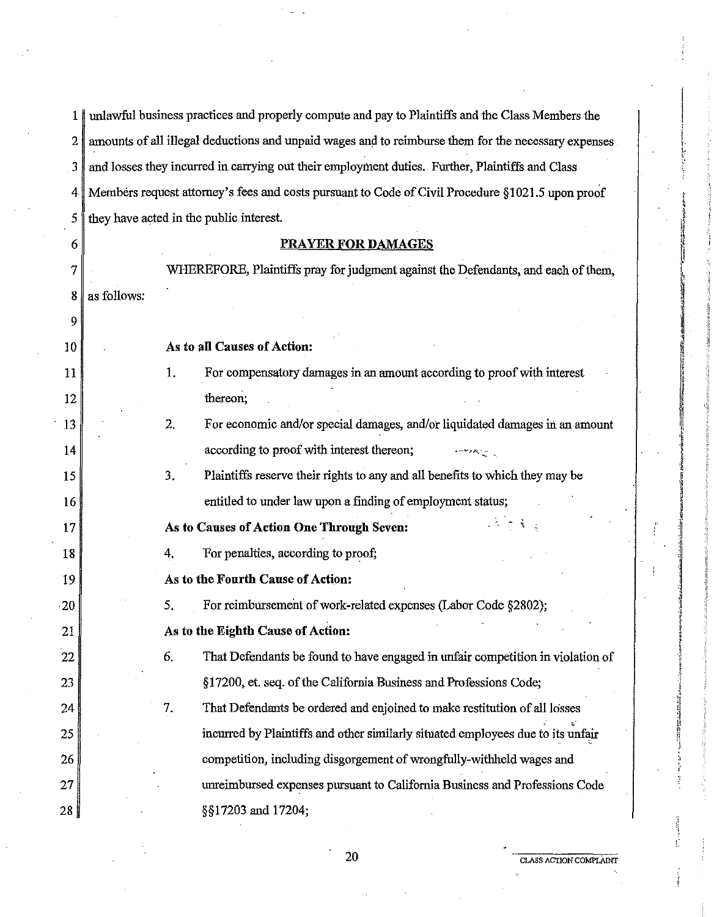1 unlawful business practices and properly compute and pay to Plaintiffs and the Class Members the 2 amounts of all illegal deductions and unpaid wages and to reimburse them for the necessary expenses 3 and losses they incurred in carrying out their employment duties. Further, Plaintiffs and Class 4 Members request attorney's fees and costs pursuant to Code of Civil Procedure §1021.5 upon proof *5* they have acted in the public interest.

#### 6 7 **8** as follows: 9 10 11 12 13 14 15 16 17 18 19 20 21 22 23 24 25 26 27 28 **PRAYER FOR DAMAGES**  WHEREFORE, Plaintiffs pray for judgment against the Defendants, and each of them, **As to all Causes of Action:**  1. For compensatory damages in an amount according to proof with interest thereon; 2. For economic and/or special damages, and/or liquidated damages in an amount according to proof with interest thereon; 3. Plaintiffs reserve their rights to any and all benefits to which they may be entitled to under law upon a finding of employment status; **As to Causes of Action One Through Seven:** i 4. 'For penalties, according to proof; **As to the Fourth Cause of Action:**  *5.* For reimbursement of work-related expenses (Labor Code §2802); **As to the Eighth Cause of Action:**  6. That Defendants be found to have engaged in unfair competition in violation of §17200, et. seq. of the California Business and Professions Code; 7. That Defendants be ordered and enjoined to make restitution of all losses *,:*  incurred by Plaintiffs and other similarly situated employees due to its unfair competition, including disgorgement of wrongfully-withheld wages and unreimbursed expenses pursuant to California Business and Professions Code §§17203 and 17204;